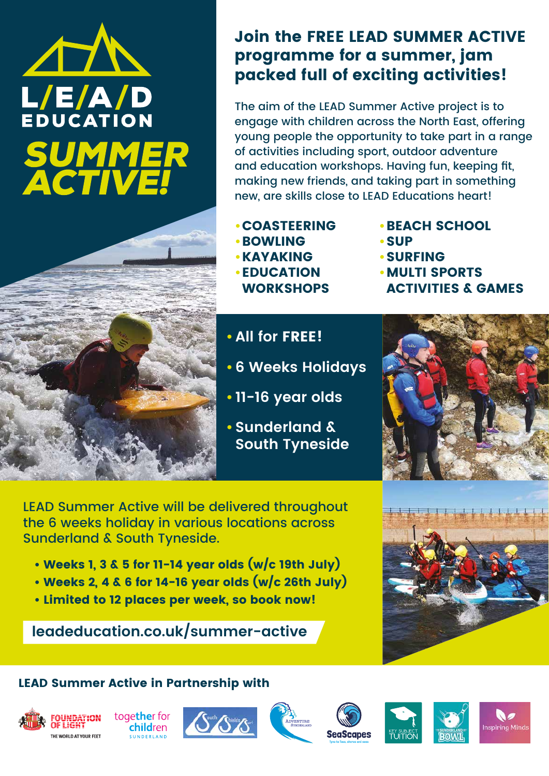### **leadeducation.co.uk/summer-active**

- **•**COASTEERING
- **•**BOWLING
- **•**KAYAKING
- **•**EDUCATION **WORKSHOPS**
- **•**BEACH SCHOOL
- **•**SUP
- **•**SURFING
- **•**MULTI SPORTS ACTIVITIES & GAMES

# AL L/E/A/D<br>EDUCATION **SUMMER**<br>ACTIVE!



### Join the FREE LEAD SUMMER ACTIVE programme for a summer, jam packed full of exciting activities!

- Weeks 1, 3 & 5 for 11-14 year olds  $(w/c$  19th July)
- Weeks 2, 4 & 6 for 14-16 year olds (w/c 26th July)



The aim of the LEAD Summer Active project is to engage with children across the North East, offering young people the opportunity to take part in a range of activities including sport, outdoor adventure and education workshops. Having fun, keeping fit, making new friends, and taking part in something new, are skills close to LEAD Educations heart!

LEAD Summer Active will be delivered throughout the 6 weeks holiday in various locations across Sunderland & South Tyneside.

• Limited to 12 places per week, so book now!

### LEAD Summer Active in Partnership with



### **• All for** FREE!

- **• 6 Weeks Holidays**
- **• 11-16 year olds**
- **• Sunderland & South Tyneside**